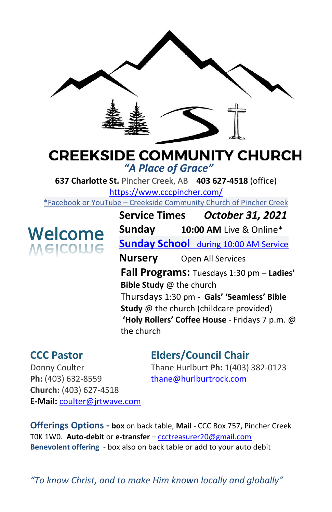

# **CREEKSIDE COMMUNITY CHURCH** *"A Place of Grace"*

**637 Charlotte St.** Pincher Creek, AB **403 627-4518** (office) <https://www.cccpincher.com/>

\*Facebook or YouTube – Creekside Community Church of Pincher Creek

# Welcome **WEICOME**

**Service Times** *October 31, 2021* **Sunday 10:00 AM** Live & Online\* **Sunday School** during 10:00 AM Service **Nursery** Open All Services **Fall Programs:** Tuesdays 1:30 pm – **Ladies' Bible Study** @ the church Thursdays 1:30 pm - **Gals' 'Seamless' Bible Study** @ the church (childcare provided) **'Holy Rollers' Coffee House** - Fridays 7 p.m. @ the church

# **CCC Pastor Elders/Council Chair**

**Ph:** (403) 632-8559 [thane@hurlburtrock.com](mailto:thane@hurlburtrock.com) **Church:** (403) 627-4518 **E-Mail:** [coulter@jrtwave.com](mailto:coulter@jrtwave.com)

Donny Coulter Thane Hurlburt **Ph:** 1(403) 382-0123

**Offerings Options - box** on back table, **Mail** - CCC Box 757, Pincher Creek T0K 1W0. **Auto-debit** or **e-transfer** – [ccctreasurer20@gmail.com](mailto:ccctreasurer20@gmail.com) **Benevolent offering** - box also on back table or add to your auto debit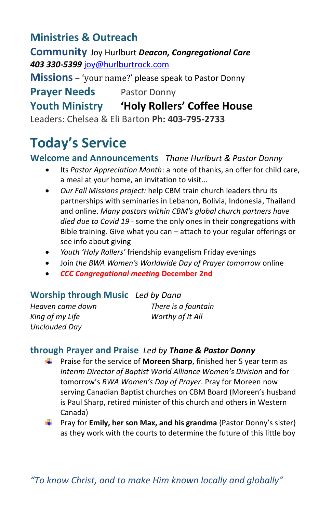# **Ministries & Outreach**

**Community** Joy Hurlburt *Deacon, Congregational Care 403 330-5399* [joy@hurlburtrock.com](mailto:joy@hurlburtrock.com)

**Missions** – 'your name?' please speak to Pastor Donny

**Prayer Needs** Pastor Donny

# **Youth Ministry 'Holy Rollers' Coffee House**

Leaders: Chelsea & Eli Barton **Ph: 403-795-2733**

# **Today's Service**

#### **Welcome and Announcements** *Thane Hurlburt & Pastor Donny*

- Its *Pastor Appreciation Month*: a note of thanks, an offer for child care, a meal at your home, an invitation to visit…
- *Our Fall Missions project:* help CBM train church leaders thru its partnerships with seminaries in Lebanon, Bolivia, Indonesia, Thailand and online. *Many pastors within CBM's global church partners have died due to Covid 19* - some the only ones in their congregations with Bible training. Give what you can – attach to your regular offerings or see info about giving
- *Youth 'Holy Rollers'* friendship evangelism Friday evenings
- Join *the BWA Women's Worldwide Day of Prayer tomorrow* online
- *CCC Congregational meeting* **December 2nd**

#### **Worship through Music** *Led by Dana*

*Heaven came down There is a fountain King of my Life Worthy of It All Unclouded Day*

### **through Prayer and Praise** *Led by Thane & Pastor Donny*

- Praise for the service of **Moreen Sharp**, finished her 5 year term as . *Interim Director of Baptist World Alliance Women's Division* and for tomorrow's *BWA Women's Day of Prayer*. Pray for Moreen now serving Canadian Baptist churches on CBM Board (Moreen's husband is Paul Sharp, retired minister of this church and others in Western Canada)
- **F** Pray for **Emily, her son Max, and his grandma** (Pastor Donny's sister) as they work with the courts to determine the future of this little boy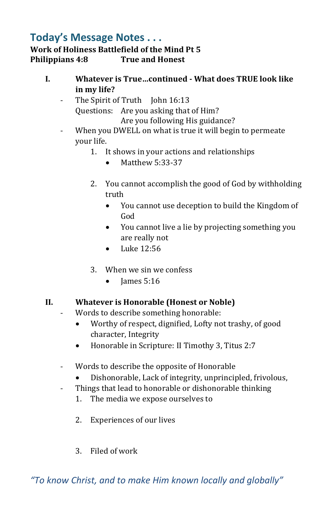### **Today's Message Notes . . . Work of Holiness Battlefield of the Mind Pt 5 Philippians 4:8 True and Honest**

- **I. Whatever is True…continued - What does TRUE look like in my life?**
	- The Spirit of Truth John 16:13 Questions: Are you asking that of Him? Are you following His guidance?
	- When you DWELL on what is true it will begin to permeate your life.
		- 1. It shows in your actions and relationships
			- Matthew 5:33-37
		- 2. You cannot accomplish the good of God by withholding truth
			- You cannot use deception to build the Kingdom of God
			- You cannot live a lie by projecting something you are really not
			- Luke 12:56
		- 3. When we sin we confess
			- $\bullet$  James 5:16

#### **II. Whatever is Honorable (Honest or Noble)**

- Words to describe something honorable:
	- Worthy of respect, dignified, Lofty not trashy, of good character, Integrity
	- Honorable in Scripture: II Timothy 3, Titus 2:7
	- Words to describe the opposite of Honorable
		- Dishonorable, Lack of integrity, unprincipled, frivolous,
	- Things that lead to honorable or dishonorable thinking
		- 1. The media we expose ourselves to
		- 2. Experiences of our lives
		- 3. Filed of work